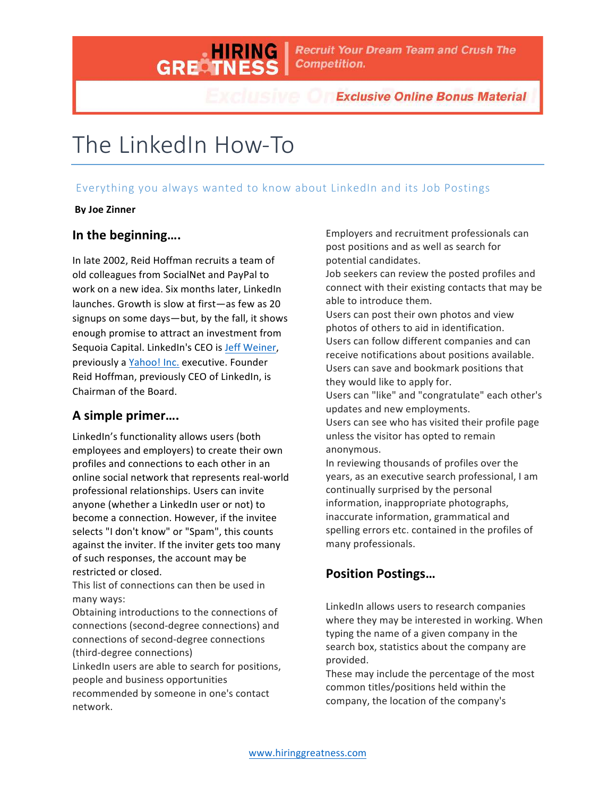

**Exclusive Online Bonus Material** 

# The LinkedIn How-To

#### Everything you always wanted to know about LinkedIn and its Job Postings

#### **By Joe Zinner**

#### In the beginning....

In late 2002, Reid Hoffman recruits a team of old colleagues from SocialNet and PayPal to work on a new idea. Six months later, LinkedIn launches. Growth is slow at first—as few as 20 signups on some days—but, by the fall, it shows enough promise to attract an investment from Sequoia Capital. LinkedIn's CEO is Jeff Weiner, previously a Yahoo! Inc. executive. Founder Reid Hoffman, previously CEO of LinkedIn, is Chairman of the Board.

#### **A simple primer….**

LinkedIn's functionality allows users (both employees and employers) to create their own profiles and connections to each other in an online social network that represents real-world professional relationships. Users can invite anyone (whether a LinkedIn user or not) to become a connection. However, if the invitee selects "I don't know" or "Spam", this counts against the inviter. If the inviter gets too many of such responses, the account may be restricted or closed.

This list of connections can then be used in many ways:

Obtaining introductions to the connections of connections (second-degree connections) and connections of second-degree connections (third-degree connections)

LinkedIn users are able to search for positions, people and business opportunities

recommended by someone in one's contact network.

Employers and recruitment professionals can post positions and as well as search for potential candidates.

Job seekers can review the posted profiles and connect with their existing contacts that may be able to introduce them.

Users can post their own photos and view photos of others to aid in identification. Users can follow different companies and can receive notifications about positions available. Users can save and bookmark positions that they would like to apply for.

Users can "like" and "congratulate" each other's updates and new employments.

Users can see who has visited their profile page unless the visitor has opted to remain anonymous. 

In reviewing thousands of profiles over the years, as an executive search professional, I am continually surprised by the personal information, inappropriate photographs, inaccurate information, grammatical and spelling errors etc. contained in the profiles of many professionals.

#### **Position Postings...**

LinkedIn allows users to research companies where they may be interested in working. When typing the name of a given company in the search box, statistics about the company are provided. 

These may include the percentage of the most common titles/positions held within the company, the location of the company's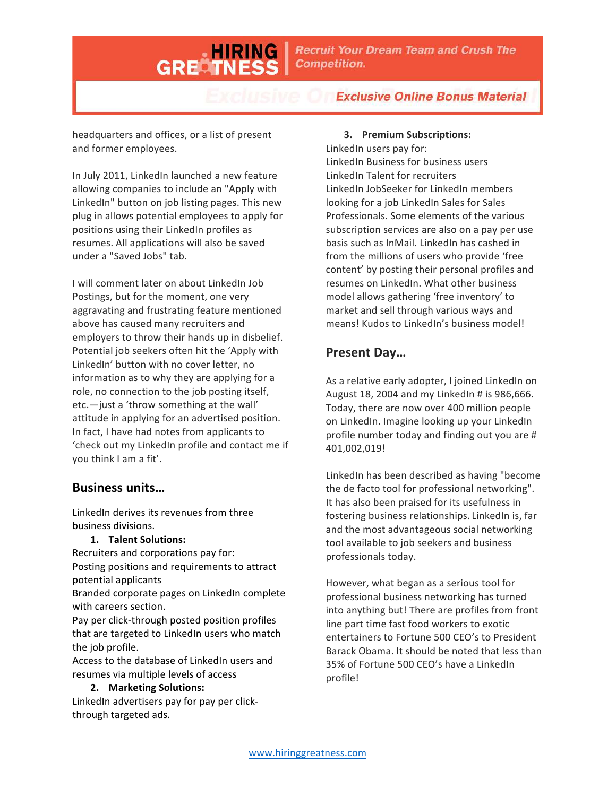**Recruit Your Dream Team and Crush The Competition.** 

**Exclusive Online Bonus Material** 

headquarters and offices, or a list of present and former employees.

GRECT

In July 2011, LinkedIn launched a new feature allowing companies to include an "Apply with LinkedIn" button on job listing pages. This new plug in allows potential employees to apply for positions using their LinkedIn profiles as resumes. All applications will also be saved under a "Saved Jobs" tab.

I will comment later on about LinkedIn Job Postings, but for the moment, one very aggravating and frustrating feature mentioned above has caused many recruiters and employers to throw their hands up in disbelief. Potential job seekers often hit the 'Apply with LinkedIn' button with no cover letter, no information as to why they are applying for a role, no connection to the job posting itself,  $etc.$  — just a 'throw something at the wall' attitude in applying for an advertised position. In fact, I have had notes from applicants to 'check out my LinkedIn profile and contact me if you think I am a fit'.

#### **Business units…**

LinkedIn derives its revenues from three business divisions. 

**1. Talent Solutions:** 

Recruiters and corporations pay for: Posting positions and requirements to attract potential applicants

Branded corporate pages on LinkedIn complete with careers section.

Pay per click-through posted position profiles that are targeted to LinkedIn users who match the job profile.

Access to the database of LinkedIn users and resumes via multiple levels of access

#### **2. Marketing Solutions:**

LinkedIn advertisers pay for pay per clickthrough targeted ads.

#### **3. Premium Subscriptions:**

LinkedIn users pay for: LinkedIn Business for business users LinkedIn Talent for recruiters LinkedIn JobSeeker for LinkedIn members looking for a job LinkedIn Sales for Sales Professionals. Some elements of the various subscription services are also on a pay per use basis such as InMail. LinkedIn has cashed in from the millions of users who provide 'free content' by posting their personal profiles and resumes on LinkedIn. What other business model allows gathering 'free inventory' to market and sell through various ways and means! Kudos to LinkedIn's business model!

#### **Present Day…**

As a relative early adopter, I joined LinkedIn on August 18, 2004 and my LinkedIn # is 986,666. Today, there are now over 400 million people on LinkedIn. Imagine looking up your LinkedIn profile number today and finding out you are # 401,002,019!

LinkedIn has been described as having "become the de facto tool for professional networking". It has also been praised for its usefulness in fostering business relationships. LinkedIn is, far and the most advantageous social networking tool available to job seekers and business professionals today.

However, what began as a serious tool for professional business networking has turned into anything but! There are profiles from front line part time fast food workers to exotic entertainers to Fortune 500 CEO's to President Barack Obama. It should be noted that less than 35% of Fortune 500 CEO's have a LinkedIn profile!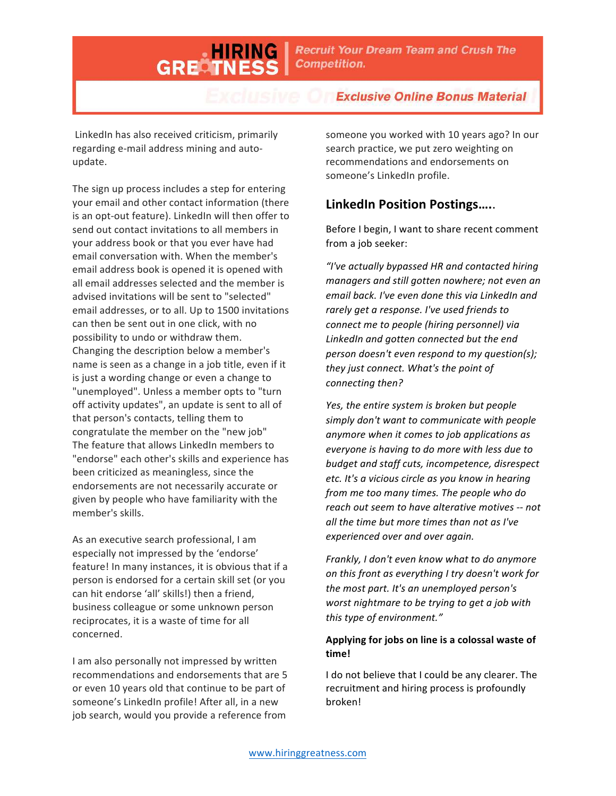**Recruit Your Dream Team and Crush The Competition.** 

**Exclusive Online Bonus Material** 

LinkedIn has also received criticism, primarily regarding e-mail address mining and autoupdate.

GRECT

The sign up process includes a step for entering your email and other contact information (there is an opt-out feature). LinkedIn will then offer to send out contact invitations to all members in your address book or that you ever have had email conversation with. When the member's email address book is opened it is opened with all email addresses selected and the member is advised invitations will be sent to "selected" email addresses, or to all. Up to 1500 invitations can then be sent out in one click, with no possibility to undo or withdraw them. Changing the description below a member's name is seen as a change in a job title, even if it is just a wording change or even a change to "unemployed". Unless a member opts to "turn off activity updates", an update is sent to all of that person's contacts, telling them to congratulate the member on the "new job" The feature that allows LinkedIn members to "endorse" each other's skills and experience has been criticized as meaningless, since the endorsements are not necessarily accurate or given by people who have familiarity with the member's skills.

As an executive search professional, I am especially not impressed by the 'endorse' feature! In many instances, it is obvious that if a person is endorsed for a certain skill set (or you can hit endorse 'all' skills!) then a friend, business colleague or some unknown person reciprocates, it is a waste of time for all concerned.

I am also personally not impressed by written recommendations and endorsements that are 5 or even 10 years old that continue to be part of someone's LinkedIn profile! After all, in a new job search, would you provide a reference from

someone you worked with 10 years ago? In our search practice, we put zero weighting on recommendations and endorsements on someone's LinkedIn profile.

## **LinkedIn Position Postings….**.

Before I begin, I want to share recent comment from a job seeker:

*"I've actually bypassed HR and contacted hiring*  managers and still gotten nowhere; not even an email back. I've even done this via LinkedIn and rarely get a response. I've used friends to *connect me to people (hiring personnel)* via LinkedIn and gotten connected but the end *person doesn't even respond to my question(s); they just connect.* What's the point of *connecting then?*

*Yes, the entire system is broken but people* simply don't want to communicate with people anymore when it comes to job applications as everyone is having to do more with less due to budget and staff cuts, incompetence, disrespect etc. It's a vicious circle as you know in hearing *from me too many times. The people who do reach out seem to have alterative motives* -- *not* all the time but more times than not as I've *experienced over and over again.*

*Frankly, I* don't even know what to do anymore *on this front as everything I try doesn't work for the most part. It's an unemployed person's* worst nightmare to be trying to get a job with *this type of environment."* 

#### Applying for jobs on line is a colossal waste of **time!**

I do not believe that I could be any clearer. The recruitment and hiring process is profoundly broken!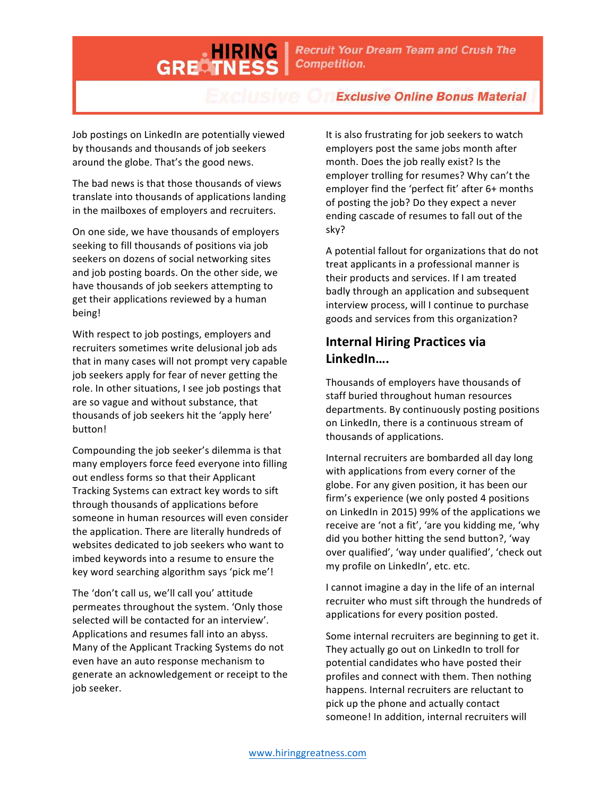# **Exclusive Online Bonus Material**

Job postings on LinkedIn are potentially viewed by thousands and thousands of job seekers around the globe. That's the good news.

GRECT

The bad news is that those thousands of views translate into thousands of applications landing in the mailboxes of employers and recruiters.

On one side, we have thousands of employers seeking to fill thousands of positions via job seekers on dozens of social networking sites and job posting boards. On the other side, we have thousands of job seekers attempting to get their applications reviewed by a human being!

With respect to job postings, employers and recruiters sometimes write delusional job ads that in many cases will not prompt very capable job seekers apply for fear of never getting the role. In other situations, I see job postings that are so vague and without substance, that thousands of job seekers hit the 'apply here' button!

Compounding the job seeker's dilemma is that many employers force feed everyone into filling out endless forms so that their Applicant Tracking Systems can extract key words to sift through thousands of applications before someone in human resources will even consider the application. There are literally hundreds of websites dedicated to job seekers who want to imbed keywords into a resume to ensure the key word searching algorithm says 'pick me'!

The 'don't call us, we'll call you' attitude permeates throughout the system. 'Only those selected will be contacted for an interview'. Applications and resumes fall into an abyss. Many of the Applicant Tracking Systems do not even have an auto response mechanism to generate an acknowledgement or receipt to the job seeker.

It is also frustrating for job seekers to watch employers post the same jobs month after month. Does the job really exist? Is the employer trolling for resumes? Why can't the employer find the 'perfect fit' after 6+ months of posting the job? Do they expect a never ending cascade of resumes to fall out of the sky?

A potential fallout for organizations that do not treat applicants in a professional manner is their products and services. If I am treated badly through an application and subsequent interview process, will I continue to purchase goods and services from this organization?

### **Internal Hiring Practices via LinkedIn….**

Thousands of employers have thousands of staff buried throughout human resources departments. By continuously posting positions on LinkedIn, there is a continuous stream of thousands of applications.

Internal recruiters are bombarded all day long with applications from every corner of the globe. For any given position, it has been our firm's experience (we only posted 4 positions on LinkedIn in 2015) 99% of the applications we receive are 'not a fit', 'are you kidding me, 'why did you bother hitting the send button?, 'way over qualified', 'way under qualified', 'check out my profile on LinkedIn', etc. etc.

I cannot imagine a day in the life of an internal recruiter who must sift through the hundreds of applications for every position posted.

Some internal recruiters are beginning to get it. They actually go out on LinkedIn to troll for potential candidates who have posted their profiles and connect with them. Then nothing happens. Internal recruiters are reluctant to pick up the phone and actually contact someone! In addition, internal recruiters will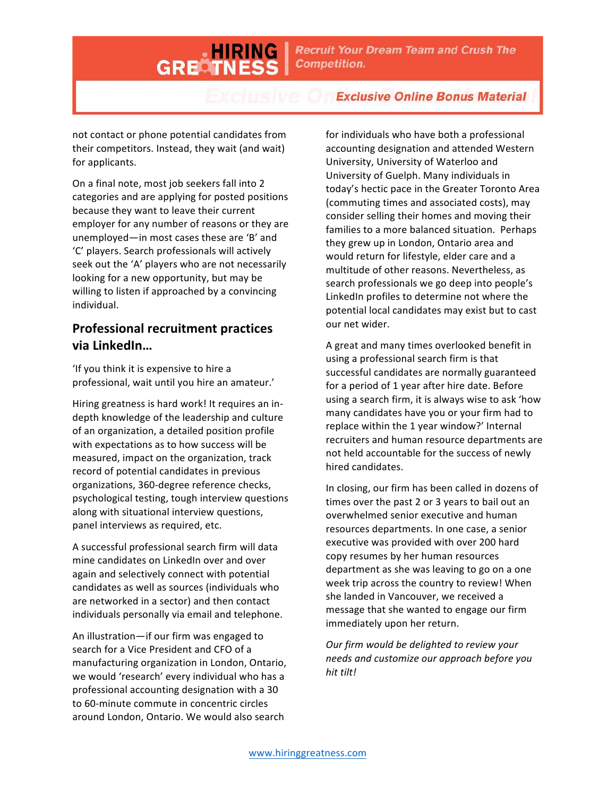# **Exclusive Online Bonus Material**

not contact or phone potential candidates from their competitors. Instead, they wait (and wait) for applicants.

GRECT

On a final note, most job seekers fall into 2 categories and are applying for posted positions because they want to leave their current employer for any number of reasons or they are unemployed—in most cases these are 'B' and 'C' players. Search professionals will actively seek out the 'A' players who are not necessarily looking for a new opportunity, but may be willing to listen if approached by a convincing individual.

### **Professional recruitment practices via LinkedIn…**

'If you think it is expensive to hire a professional, wait until you hire an amateur.'

Hiring greatness is hard work! It requires an indepth knowledge of the leadership and culture of an organization, a detailed position profile with expectations as to how success will be measured, impact on the organization, track record of potential candidates in previous organizations, 360-degree reference checks, psychological testing, tough interview questions along with situational interview questions, panel interviews as required, etc.

A successful professional search firm will data mine candidates on LinkedIn over and over again and selectively connect with potential candidates as well as sources (individuals who are networked in a sector) and then contact individuals personally via email and telephone.

An illustration—if our firm was engaged to search for a Vice President and CFO of a manufacturing organization in London, Ontario, we would 'research' every individual who has a professional accounting designation with a 30 to 60-minute commute in concentric circles around London, Ontario. We would also search

for individuals who have both a professional accounting designation and attended Western University, University of Waterloo and University of Guelph. Many individuals in today's hectic pace in the Greater Toronto Area (commuting times and associated costs), may consider selling their homes and moving their families to a more balanced situation. Perhaps they grew up in London, Ontario area and would return for lifestyle, elder care and a multitude of other reasons. Nevertheless, as search professionals we go deep into people's LinkedIn profiles to determine not where the potential local candidates may exist but to cast our net wider.

A great and many times overlooked benefit in using a professional search firm is that successful candidates are normally guaranteed for a period of 1 year after hire date. Before using a search firm, it is always wise to ask 'how many candidates have you or your firm had to replace within the 1 year window?' Internal recruiters and human resource departments are not held accountable for the success of newly hired candidates.

In closing, our firm has been called in dozens of times over the past 2 or 3 years to bail out an overwhelmed senior executive and human resources departments. In one case, a senior executive was provided with over 200 hard copy resumes by her human resources department as she was leaving to go on a one week trip across the country to review! When she landed in Vancouver, we received a message that she wanted to engage our firm immediately upon her return.

*Our firm would be delighted to review your needs and customize our approach before you hit tilt!*